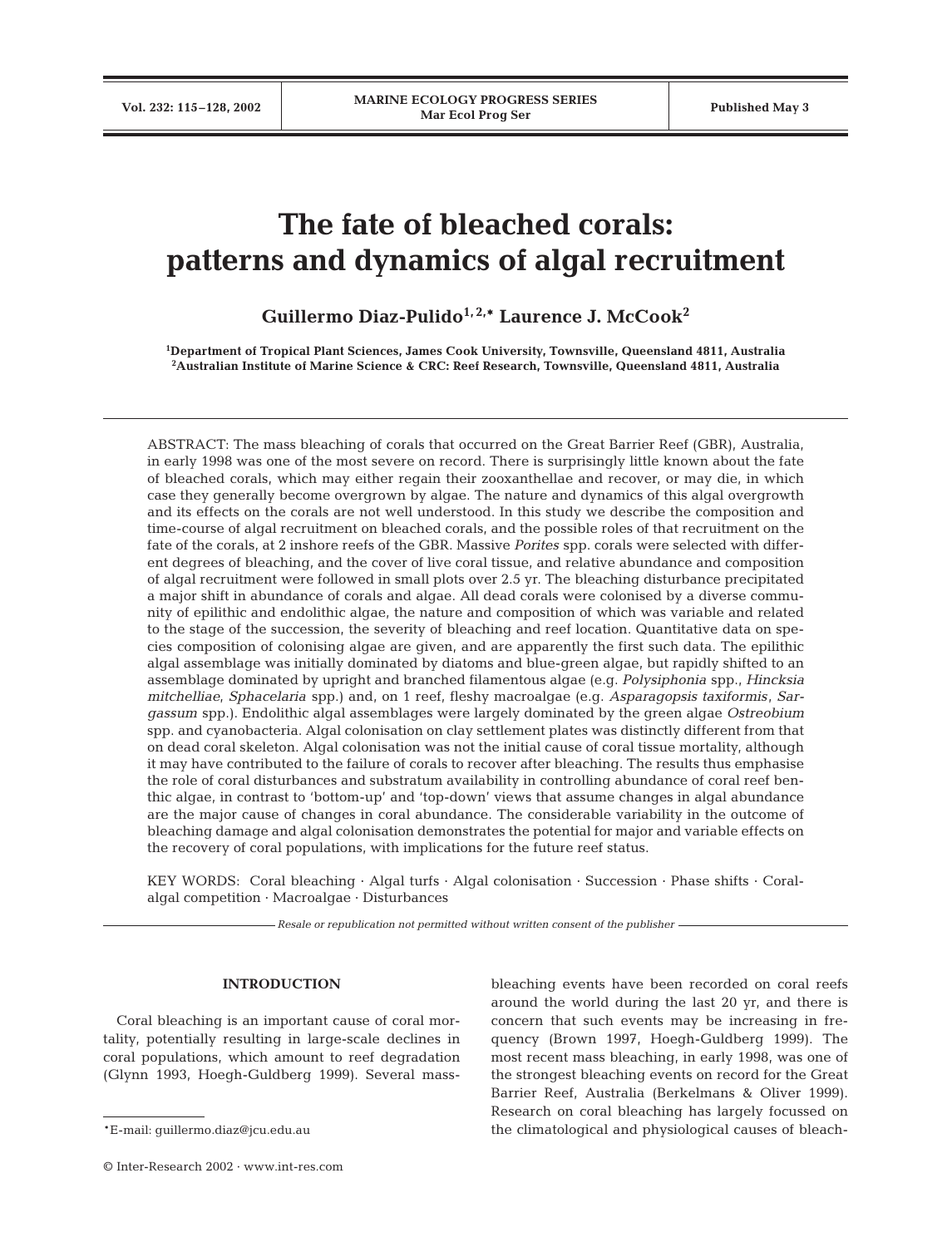# **The fate of bleached corals: patterns and dynamics of algal recruitment**

**Guillermo Diaz-Pulido1, 2,\* Laurence J. McCook2**

**1 Department of Tropical Plant Sciences, James Cook University, Townsville, Queensland 4811, Australia 2 Australian Institute of Marine Science & CRC: Reef Research, Townsville, Queensland 4811, Australia**

ABSTRACT: The mass bleaching of corals that occurred on the Great Barrier Reef (GBR), Australia, in early 1998 was one of the most severe on record. There is surprisingly little known about the fate of bleached corals, which may either regain their zooxanthellae and recover, or may die, in which case they generally become overgrown by algae. The nature and dynamics of this algal overgrowth and its effects on the corals are not well understood. In this study we describe the composition and time-course of algal recruitment on bleached corals, and the possible roles of that recruitment on the fate of the corals, at 2 inshore reefs of the GBR. Massive *Porites* spp. corals were selected with different degrees of bleaching, and the cover of live coral tissue, and relative abundance and composition of algal recruitment were followed in small plots over 2.5 yr. The bleaching disturbance precipitated a major shift in abundance of corals and algae. All dead corals were colonised by a diverse community of epilithic and endolithic algae, the nature and composition of which was variable and related to the stage of the succession, the severity of bleaching and reef location. Quantitative data on species composition of colonising algae are given, and are apparently the first such data. The epilithic algal assemblage was initially dominated by diatoms and blue-green algae, but rapidly shifted to an assemblage dominated by upright and branched filamentous algae (e.g. *Polysiphonia* spp., *Hincksia mitchelliae*, *Sphacelaria* spp.) and, on 1 reef, fleshy macroalgae (e.g. *Asparagopsis taxiformis*, *Sargassum* spp.). Endolithic algal assemblages were largely dominated by the green algae *Ostreobium* spp. and cyanobacteria. Algal colonisation on clay settlement plates was distinctly different from that on dead coral skeleton. Algal colonisation was not the initial cause of coral tissue mortality, although it may have contributed to the failure of corals to recover after bleaching. The results thus emphasise the role of coral disturbances and substratum availability in controlling abundance of coral reef benthic algae, in contrast to 'bottom-up' and 'top-down' views that assume changes in algal abundance are the major cause of changes in coral abundance. The considerable variability in the outcome of bleaching damage and algal colonisation demonstrates the potential for major and variable effects on the recovery of coral populations, with implications for the future reef status.

KEY WORDS: Coral bleaching · Algal turfs · Algal colonisation · Succession · Phase shifts · Coralalgal competition · Macroalgae · Disturbances

*Resale or republication not permitted without written consent of the publisher*

#### **INTRODUCTION**

Coral bleaching is an important cause of coral mortality, potentially resulting in large-scale declines in coral populations, which amount to reef degradation (Glynn 1993, Hoegh-Guldberg 1999). Several mass-

© Inter-Research 2002 · www.int-res.com

bleaching events have been recorded on coral reefs around the world during the last 20 yr, and there is concern that such events may be increasing in frequency (Brown 1997, Hoegh-Guldberg 1999). The most recent mass bleaching, in early 1998, was one of the strongest bleaching events on record for the Great Barrier Reef, Australia (Berkelmans & Oliver 1999). Research on coral bleaching has largely focussed on the climatological and physiological causes of bleach-

<sup>\*</sup>E-mail: guillermo.diaz@jcu.edu.au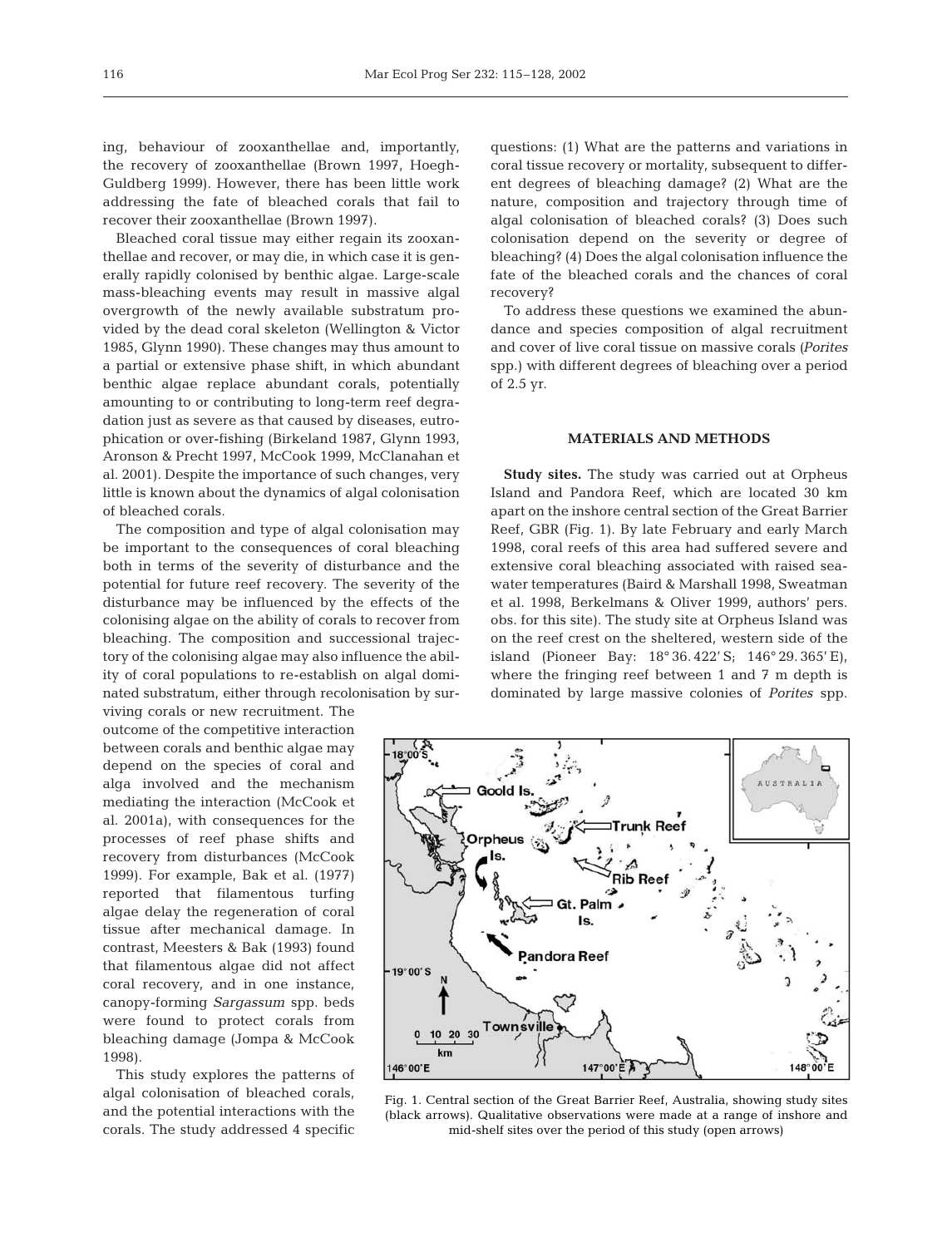ing, behaviour of zooxanthellae and, importantly, the recovery of zooxanthellae (Brown 1997, Hoegh-Guldberg 1999). However, there has been little work addressing the fate of bleached corals that fail to recover their zooxanthellae (Brown 1997).

Bleached coral tissue may either regain its zooxanthellae and recover, or may die, in which case it is generally rapidly colonised by benthic algae. Large-scale mass-bleaching events may result in massive algal overgrowth of the newly available substratum provided by the dead coral skeleton (Wellington & Victor 1985, Glynn 1990). These changes may thus amount to a partial or extensive phase shift, in which abundant benthic algae replace abundant corals, potentially amounting to or contributing to long-term reef degradation just as severe as that caused by diseases, eutrophication or over-fishing (Birkeland 1987, Glynn 1993, Aronson & Precht 1997, McCook 1999, McClanahan et al. 2001). Despite the importance of such changes, very little is known about the dynamics of algal colonisation of bleached corals.

The composition and type of algal colonisation may be important to the consequences of coral bleaching both in terms of the severity of disturbance and the potential for future reef recovery. The severity of the disturbance may be influenced by the effects of the colonising algae on the ability of corals to recover from bleaching. The composition and successional trajectory of the colonising algae may also influence the ability of coral populations to re-establish on algal dominated substratum, either through recolonisation by sur-

viving corals or new recruitment. The outcome of the competitive interaction between corals and benthic algae may depend on the species of coral and alga involved and the mechanism mediating the interaction (McCook et al. 2001a), with consequences for the processes of reef phase shifts and recovery from disturbances (McCook 1999). For example, Bak et al. (1977) reported that filamentous turfing algae delay the regeneration of coral tissue after mechanical damage. In contrast, Meesters & Bak (1993) found that filamentous algae did not affect coral recovery, and in one instance, canopy-forming *Sargassum* spp. beds were found to protect corals from bleaching damage (Jompa & McCook 1998).

This study explores the patterns of algal colonisation of bleached corals, and the potential interactions with the corals. The study addressed 4 specific

questions: (1) What are the patterns and variations in coral tissue recovery or mortality, subsequent to different degrees of bleaching damage? (2) What are the nature, composition and trajectory through time of algal colonisation of bleached corals? (3) Does such colonisation depend on the severity or degree of bleaching? (4) Does the algal colonisation influence the fate of the bleached corals and the chances of coral recovery?

To address these questions we examined the abundance and species composition of algal recruitment and cover of live coral tissue on massive corals *(Porites* spp.) with different degrees of bleaching over a period of 2.5 yr.

## **MATERIALS AND METHODS**

**Study sites.** The study was carried out at Orpheus Island and Pandora Reef, which are located 30 km apart on the inshore central section of the Great Barrier Reef, GBR (Fig. 1). By late February and early March 1998, coral reefs of this area had suffered severe and extensive coral bleaching associated with raised seawater temperatures (Baird & Marshall 1998, Sweatman et al. 1998, Berkelmans & Oliver 1999, authors' pers. obs. for this site). The study site at Orpheus Island was on the reef crest on the sheltered, western side of the island (Pioneer Bay: 18° 36. 422' S; 146° 29. 365' E), where the fringing reef between 1 and 7 m depth is dominated by large massive colonies of *Porites* spp.



Fig. 1. Central section of the Great Barrier Reef, Australia, showing study sites (black arrows). Qualitative observations were made at a range of inshore and mid-shelf sites over the period of this study (open arrows)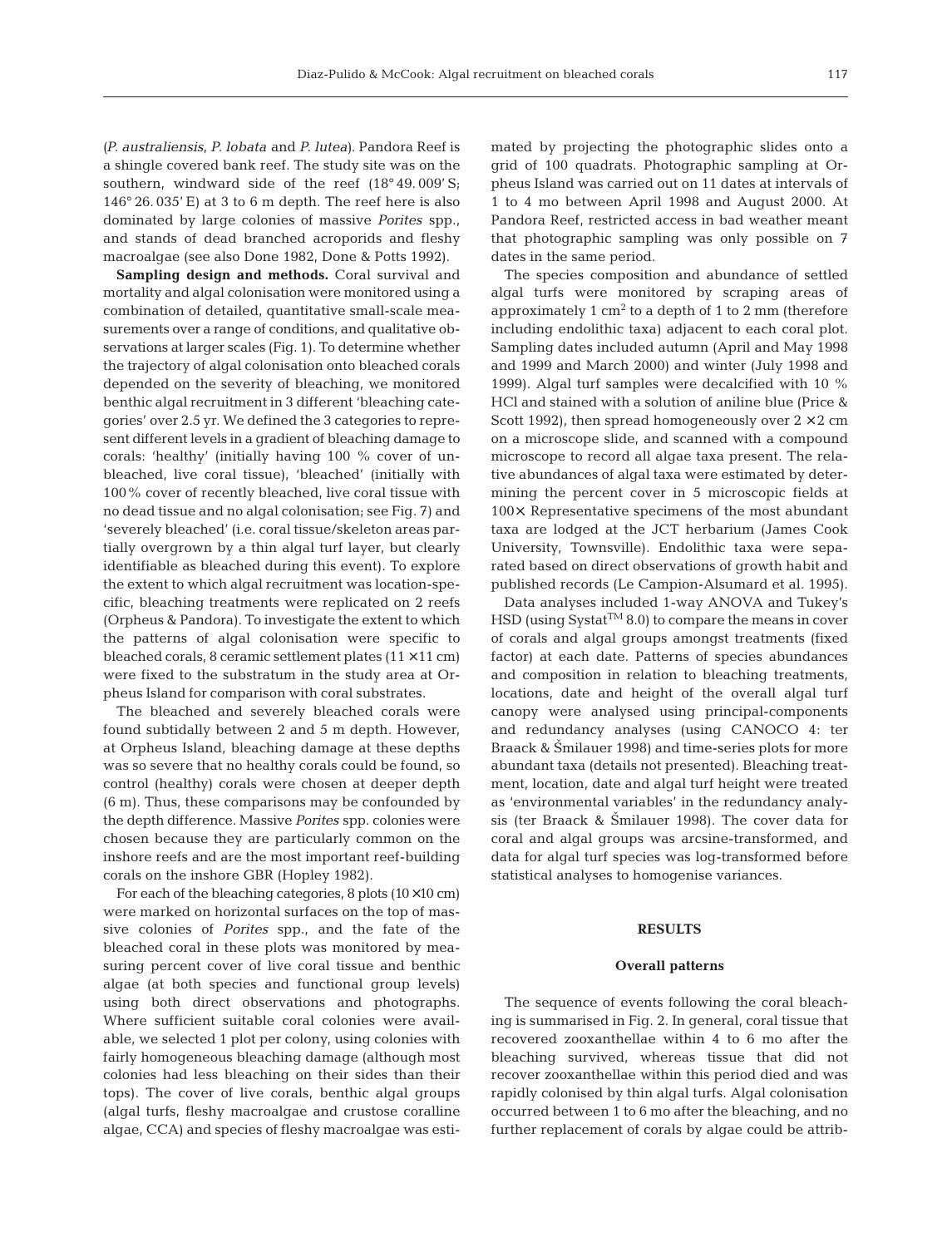*(P. australiensis, P. lobata* and *P. lutea)*. Pandora Reef is a shingle covered bank reef. The study site was on the southern, windward side of the reef (18° 49. 009' S; 146° 26. 035' E) at 3 to 6 m depth. The reef here is also dominated by large colonies of massive *Porites* spp., and stands of dead branched acroporids and fleshy macroalgae (see also Done 1982, Done & Potts 1992).

**Sampling design and methods.** Coral survival and mortality and algal colonisation were monitored using a combination of detailed, quantitative small-scale measurements over a range of conditions, and qualitative observations at larger scales (Fig. 1). To determine whether the trajectory of algal colonisation onto bleached corals depended on the severity of bleaching, we monitored benthic algal recruitment in 3 different 'bleaching categories' over 2.5 yr. We defined the 3 categories to represent different levels in a gradient of bleaching damage to corals: 'healthy' (initially having 100 % cover of unbleached, live coral tissue), 'bleached' (initially with 100% cover of recently bleached, live coral tissue with no dead tissue and no algal colonisation; see Fig. 7) and 'severely bleached' (i.e. coral tissue/skeleton areas partially overgrown by a thin algal turf layer, but clearly identifiable as bleached during this event). To explore the extent to which algal recruitment was location-specific, bleaching treatments were replicated on 2 reefs (Orpheus & Pandora). To investigate the extent to which the patterns of algal colonisation were specific to bleached corals, 8 ceramic settlement plates  $(11 \times 11 \text{ cm})$ were fixed to the substratum in the study area at Orpheus Island for comparison with coral substrates.

The bleached and severely bleached corals were found subtidally between 2 and 5 m depth. However, at Orpheus Island, bleaching damage at these depths was so severe that no healthy corals could be found, so control (healthy) corals were chosen at deeper depth (6 m). Thus, these comparisons may be confounded by the depth difference. Massive *Porites* spp. colonies were chosen because they are particularly common on the inshore reefs and are the most important reef-building corals on the inshore GBR (Hopley 1982).

For each of the bleaching categories, 8 plots  $(10\times10 \text{ cm})$ were marked on horizontal surfaces on the top of massive colonies of *Porites* spp., and the fate of the bleached coral in these plots was monitored by measuring percent cover of live coral tissue and benthic algae (at both species and functional group levels) using both direct observations and photographs. Where sufficient suitable coral colonies were available, we selected 1 plot per colony, using colonies with fairly homogeneous bleaching damage (although most colonies had less bleaching on their sides than their tops). The cover of live corals, benthic algal groups (algal turfs, fleshy macroalgae and crustose coralline algae, CCA) and species of fleshy macroalgae was estimated by projecting the photographic slides onto a grid of 100 quadrats. Photographic sampling at Orpheus Island was carried out on 11 dates at intervals of 1 to 4 mo between April 1998 and August 2000. At Pandora Reef, restricted access in bad weather meant that photographic sampling was only possible on 7 dates in the same period.

The species composition and abundance of settled algal turfs were monitored by scraping areas of approximately 1  $\text{cm}^2$  to a depth of 1 to 2 mm (therefore including endolithic taxa) adjacent to each coral plot. Sampling dates included autumn (April and May 1998 and 1999 and March 2000) and winter (July 1998 and 1999). Algal turf samples were decalcified with 10 % HCl and stained with a solution of aniline blue (Price & Scott 1992), then spread homogeneously over  $2 \times 2$  cm on a microscope slide, and scanned with a compound microscope to record all algae taxa present. The relative abundances of algal taxa were estimated by determining the percent cover in 5 microscopic fields at 100×. Representative specimens of the most abundant taxa are lodged at the JCT herbarium (James Cook University, Townsville). Endolithic taxa were separated based on direct observations of growth habit and published records (Le Campion-Alsumard et al. 1995).

Data analyses included 1-way ANOVA and Tukey's  $HSD$  (using Systat<sup>TM</sup> 8.0) to compare the means in cover of corals and algal groups amongst treatments (fixed factor) at each date. Patterns of species abundances and composition in relation to bleaching treatments, locations, date and height of the overall algal turf canopy were analysed using principal-components and redundancy analyses (using CANOCO 4: ter Braack & Smilauer 1998) and time-series plots for more abundant taxa (details not presented). Bleaching treatment, location, date and algal turf height were treated as 'environmental variables' in the redundancy analysis (ter Braack & Šmilauer 1998). The cover data for coral and algal groups was arcsine-transformed, and data for algal turf species was log-transformed before statistical analyses to homogenise variances.

#### **RESULTS**

#### **Overall patterns**

The sequence of events following the coral bleaching is summarised in Fig. 2. In general, coral tissue that recovered zooxanthellae within 4 to 6 mo after the bleaching survived, whereas tissue that did not recover zooxanthellae within this period died and was rapidly colonised by thin algal turfs. Algal colonisation occurred between 1 to 6 mo after the bleaching, and no further replacement of corals by algae could be attrib-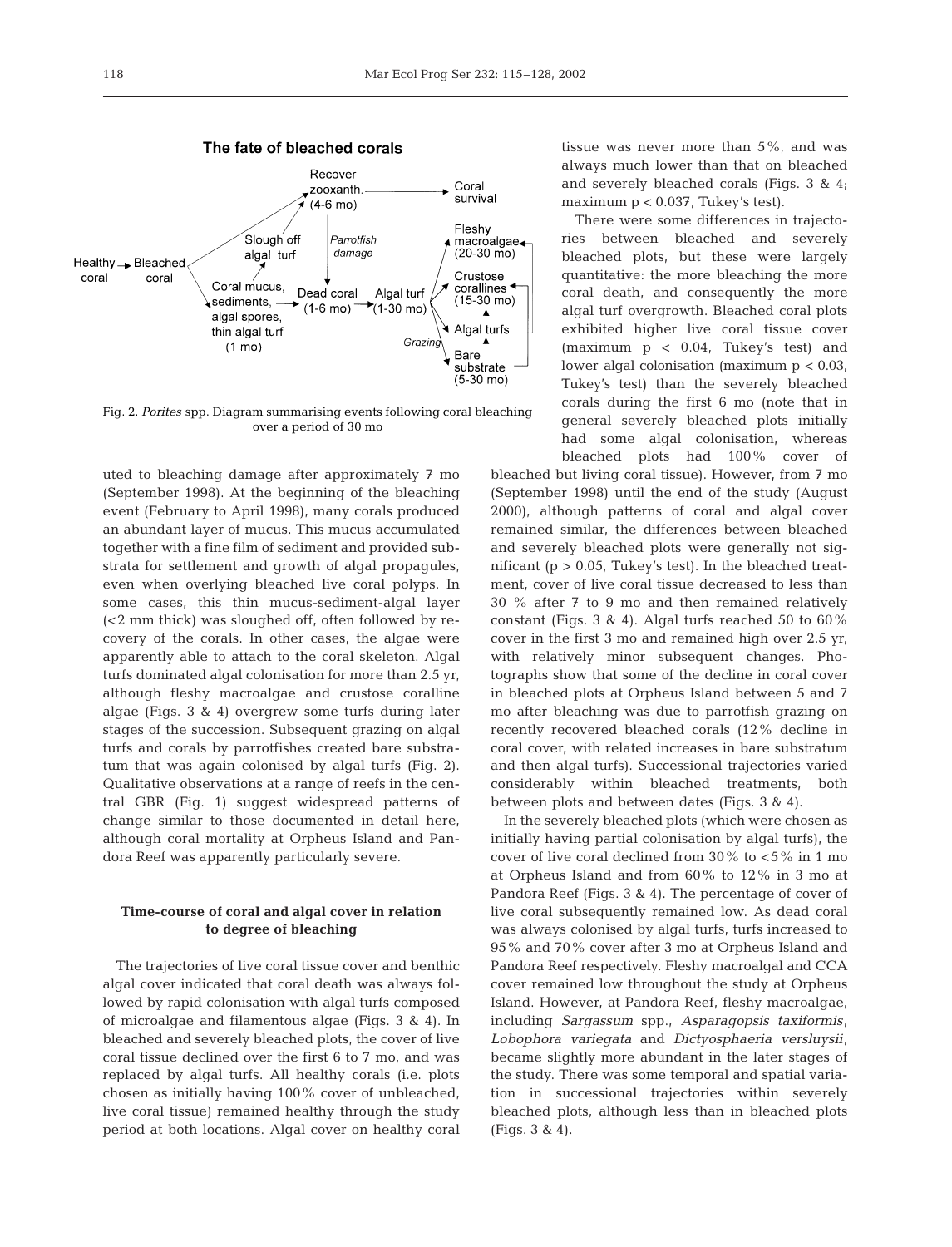

Fig. 2. *Porites* spp. Diagram summarising events following coral bleaching over a period of 30 mo

uted to bleaching damage after approximately 7 mo (September 1998). At the beginning of the bleaching event (February to April 1998), many corals produced an abundant layer of mucus. This mucus accumulated together with a fine film of sediment and provided substrata for settlement and growth of algal propagules, even when overlying bleached live coral polyps. In some cases, this thin mucus-sediment-algal layer (<2 mm thick) was sloughed off, often followed by recovery of the corals. In other cases, the algae were apparently able to attach to the coral skeleton. Algal turfs dominated algal colonisation for more than 2.5 yr, although fleshy macroalgae and crustose coralline algae (Figs. 3 & 4) overgrew some turfs during later stages of the succession. Subsequent grazing on algal turfs and corals by parrotfishes created bare substratum that was again colonised by algal turfs (Fig. 2). Qualitative observations at a range of reefs in the central GBR (Fig. 1) suggest widespread patterns of change similar to those documented in detail here, although coral mortality at Orpheus Island and Pandora Reef was apparently particularly severe.

## **Time-course of coral and algal cover in relation to degree of bleaching**

The trajectories of live coral tissue cover and benthic algal cover indicated that coral death was always followed by rapid colonisation with algal turfs composed of microalgae and filamentous algae (Figs. 3 & 4). In bleached and severely bleached plots, the cover of live coral tissue declined over the first 6 to 7 mo, and was replaced by algal turfs. All healthy corals (i.e. plots chosen as initially having 100% cover of unbleached, live coral tissue) remained healthy through the study period at both locations. Algal cover on healthy coral tissue was never more than 5%, and was always much lower than that on bleached and severely bleached corals (Figs. 3 & 4; maximum p < 0.037, Tukey's test).

There were some differences in trajectories between bleached and severely bleached plots, but these were largely quantitative: the more bleaching the more coral death, and consequently the more algal turf overgrowth. Bleached coral plots exhibited higher live coral tissue cover (maximum p < 0.04, Tukey's test) and lower algal colonisation (maximum p < 0.03, Tukey's test) than the severely bleached corals during the first 6 mo (note that in general severely bleached plots initially had some algal colonisation, whereas bleached plots had 100% cover of

bleached but living coral tissue). However, from 7 mo (September 1998) until the end of the study (August 2000), although patterns of coral and algal cover remained similar, the differences between bleached and severely bleached plots were generally not significant  $(p > 0.05$ , Tukey's test). In the bleached treatment, cover of live coral tissue decreased to less than 30 % after 7 to 9 mo and then remained relatively constant (Figs. 3 & 4). Algal turfs reached 50 to 60% cover in the first 3 mo and remained high over 2.5 yr, with relatively minor subsequent changes. Photographs show that some of the decline in coral cover in bleached plots at Orpheus Island between 5 and 7 mo after bleaching was due to parrotfish grazing on recently recovered bleached corals (12% decline in coral cover, with related increases in bare substratum and then algal turfs). Successional trajectories varied considerably within bleached treatments, both between plots and between dates (Figs. 3 & 4).

In the severely bleached plots (which were chosen as initially having partial colonisation by algal turfs), the cover of live coral declined from 30% to <5% in 1 mo at Orpheus Island and from 60% to 12% in 3 mo at Pandora Reef (Figs. 3 & 4). The percentage of cover of live coral subsequently remained low. As dead coral was always colonised by algal turfs, turfs increased to 95% and 70% cover after 3 mo at Orpheus Island and Pandora Reef respectively. Fleshy macroalgal and CCA cover remained low throughout the study at Orpheus Island. However, at Pandora Reef, fleshy macroalgae, including *Sargassum* spp., *Asparagopsis taxiformis, Lobophora variegata* and *Dictyosphaeria versluysii,* became slightly more abundant in the later stages of the study. There was some temporal and spatial variation in successional trajectories within severely bleached plots, although less than in bleached plots (Figs. 3 & 4).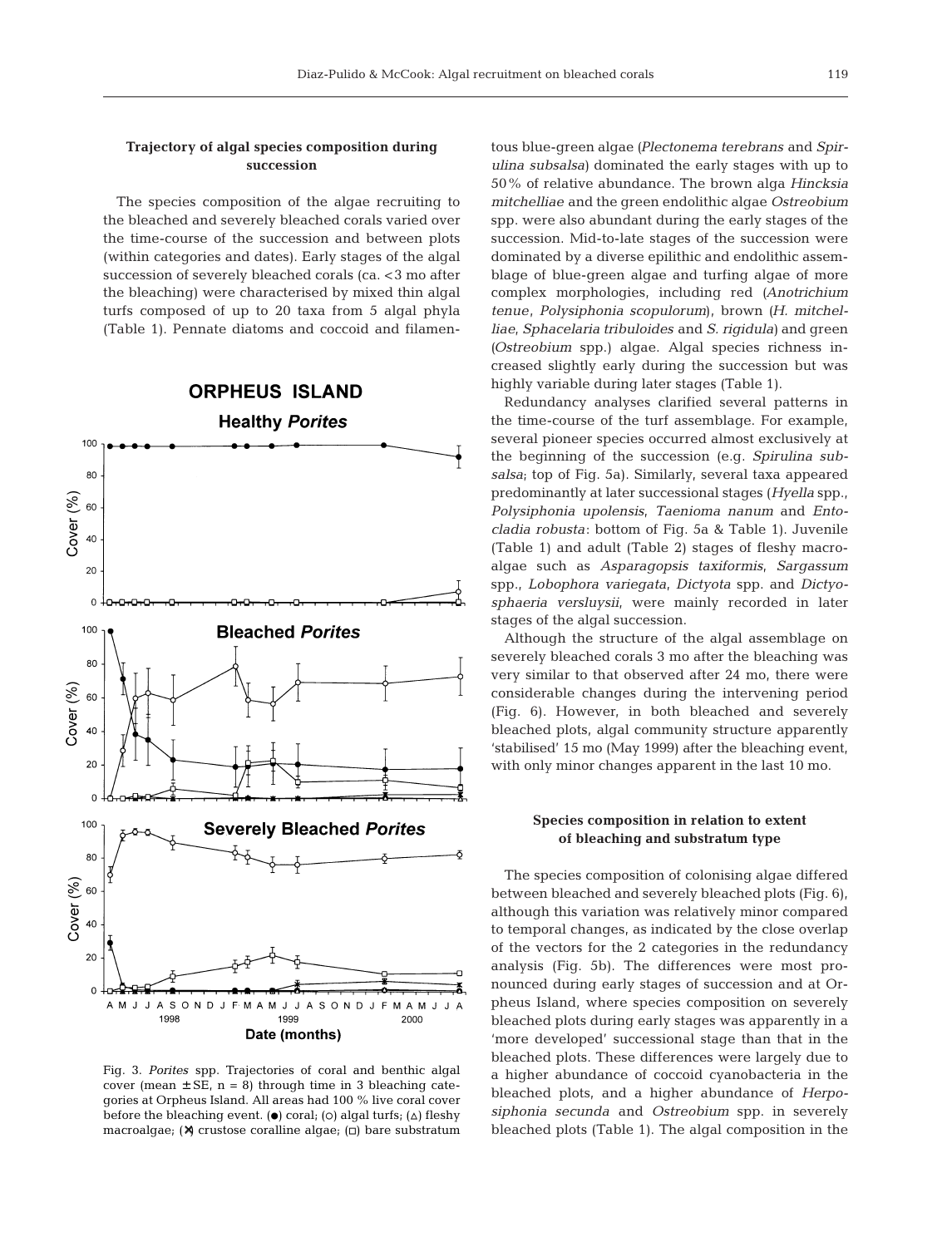#### **Trajectory of algal species composition during succession**

The species composition of the algae recruiting to the bleached and severely bleached corals varied over the time-course of the succession and between plots (within categories and dates). Early stages of the algal succession of severely bleached corals (ca. <3 mo after the bleaching) were characterised by mixed thin algal turfs composed of up to 20 taxa from 5 algal phyla (Table 1). Pennate diatoms and coccoid and filamen-



Fig. 3. *Porites* spp. Trajectories of coral and benthic algal cover (mean  $\pm$  SE, n = 8) through time in 3 bleaching categories at Orpheus Island. All areas had 100 % live coral cover before the bleaching event. ( $\bullet$ ) coral; (o) algal turfs; ( $\triangle$ ) fleshy macroalgae; (x) crustose coralline algae; ( $\Box$ ) bare substratum

tous blue-green algae *(Plectonema terebrans* and *Spirulina subsalsa)* dominated the early stages with up to 50% of relative abundance. The brown alga *Hincksia mitchelliae* and the green endolithic algae *Ostreobium* spp. were also abundant during the early stages of the succession. Mid-to-late stages of the succession were dominated by a diverse epilithic and endolithic assemblage of blue-green algae and turfing algae of more complex morphologies, including red *(Anotrichium tenue*, *Polysiphonia scopulorum)*, brown *(H. mitchelliae*, *Sphacelaria tribuloides* and *S. rigidula)* and green *(Ostreobium* spp.) algae. Algal species richness increased slightly early during the succession but was highly variable during later stages (Table 1).

Redundancy analyses clarified several patterns in the time-course of the turf assemblage. For example, several pioneer species occurred almost exclusively at the beginning of the succession (e.g. *Spirulina subsalsa*; top of Fig. 5a). Similarly, several taxa appeared predominantly at later successional stages (*Hyella* spp., *Polysiphonia upolensis*, *Taenioma nanum* and *Entocladia robusta*: bottom of Fig. 5a & Table 1). Juvenile (Table 1) and adult (Table 2) stages of fleshy macroalgae such as *Asparagopsis taxiformis*, *Sargassum* spp., *Lobophora variegata, Dictyota* spp. and *Dictyosphaeria versluysii*, were mainly recorded in later stages of the algal succession.

Although the structure of the algal assemblage on severely bleached corals 3 mo after the bleaching was very similar to that observed after 24 mo, there were considerable changes during the intervening period (Fig. 6). However, in both bleached and severely bleached plots, algal community structure apparently 'stabilised' 15 mo (May 1999) after the bleaching event, with only minor changes apparent in the last 10 mo.

#### **Species composition in relation to extent of bleaching and substratum type**

The species composition of colonising algae differed between bleached and severely bleached plots (Fig. 6), although this variation was relatively minor compared to temporal changes, as indicated by the close overlap of the vectors for the 2 categories in the redundancy analysis (Fig. 5b). The differences were most pronounced during early stages of succession and at Orpheus Island, where species composition on severely bleached plots during early stages was apparently in a 'more developed' successional stage than that in the bleached plots. These differences were largely due to a higher abundance of coccoid cyanobacteria in the bleached plots, and a higher abundance of *Herposiphonia secunda* and *Ostreobium* spp. in severely bleached plots (Table 1). The algal composition in the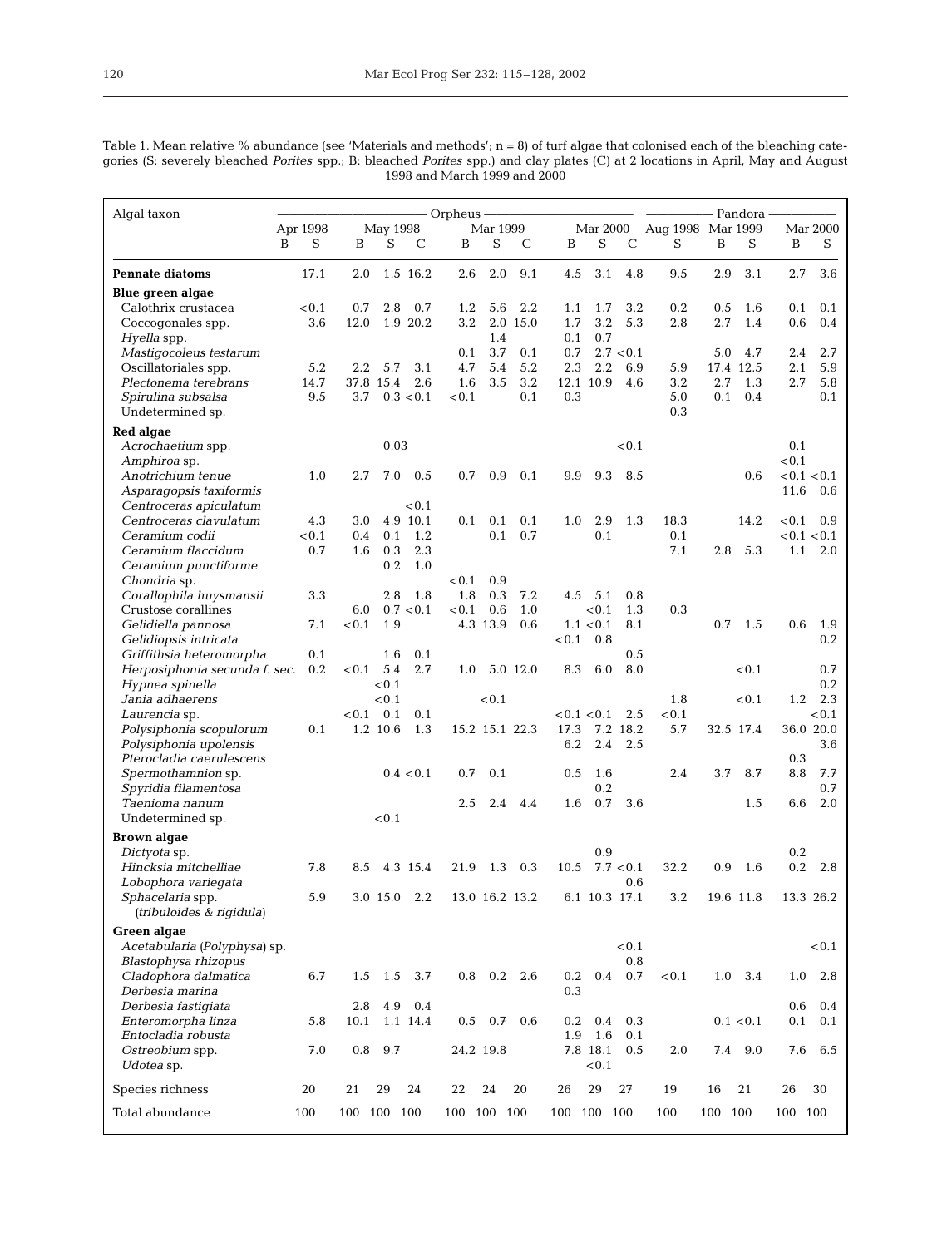Table 1. Mean relative % abundance (see 'Materials and methods'; n = 8) of turf algae that colonised each of the bleaching categories (S: severely bleached *Porites* spp.; B: bleached *Porites* spp.) and clay plates (C) at 2 locations in April, May and August 1998 and March 1999 and 2000

| Algal taxon                                          |          |                         | – Orpheus –                   | - Pandora -                      |                      |                            |  |  |
|------------------------------------------------------|----------|-------------------------|-------------------------------|----------------------------------|----------------------|----------------------------|--|--|
|                                                      | Apr 1998 | May 1998                | Mar 1999                      | Mar 2000                         | Aug 1998 Mar 1999    | Mar 2000                   |  |  |
|                                                      | S<br>B   | S<br>B<br>$\mathcal{C}$ | S<br>B<br>C                   | S<br>$\mathcal{C}$<br>B          | S<br>B<br>S          | B<br>S                     |  |  |
| <b>Pennate diatoms</b>                               | 17.1     | 1.5 16.2<br>2.0         | 2.0<br>9.1<br>2.6             | 4.5<br>3.1<br>4.8                | 9.5<br>2.9<br>3.1    | 3.6<br>2.7                 |  |  |
| Blue green algae                                     |          |                         |                               |                                  |                      |                            |  |  |
| Calothrix crustacea                                  | < 0.1    | 0.7<br>2.8<br>0.7       | 2.2<br>1.2<br>5.6<br>2.0 15.0 | 1.1<br>1.7<br>3.2<br>3.2         | 0.2<br>0.5<br>1.6    | 0.1<br>0.1                 |  |  |
| Coccogonales spp.<br><i>Hyella</i> spp.              | 3.6      | 12.0<br>1.9 20.2        | 3.2<br>1.4                    | 1.7<br>5.3<br>0.7<br>0.1         | 2.8<br>2.7<br>1.4    | 0.6<br>0.4                 |  |  |
| Mastigocoleus testarum                               |          |                         | 0.1<br>3.7<br>0.1             | 2.7 < 0.1<br>0.7                 | 5.0<br>4.7           | 2.7<br>2.4                 |  |  |
| Oscillatoriales spp.                                 | 5.2      | 3.1<br>2.2<br>5.7       | 4.7<br>5.4<br>5.2             | 2.3<br>2.2<br>6.9                | 17.4 12.5<br>5.9     | 2.1<br>5.9                 |  |  |
| Plectonema terebrans                                 | 14.7     | 2.6<br>37.8 15.4        | 3.5<br>3.2<br>1.6             | 12.1 10.9<br>4.6                 | 3.2<br>2.7<br>1.3    | 2.7<br>5.8                 |  |  |
| Spirulina subsalsa                                   | 9.5      | 3.7<br>0.3 < 0.1        | < 0.1<br>0.1                  | 0.3                              | 5.0<br>0.1<br>0.4    | 0.1                        |  |  |
| Undetermined sp.                                     |          |                         |                               |                                  | 0.3                  |                            |  |  |
| Red algae                                            |          |                         |                               |                                  |                      |                            |  |  |
| Acrochaetium spp.                                    |          | 0.03                    |                               | < 0.1                            |                      | 0.1                        |  |  |
| Amphiroa sp.                                         |          |                         |                               |                                  |                      | < 0.1                      |  |  |
| Anotrichium tenue<br>Asparagopsis taxiformis         | 1.0      | 7.0<br>2.7<br>0.5       | 0.7<br>0.9<br>0.1             | 9.9<br>9.3<br>8.5                | 0.6                  | < 0.1 < 0.1<br>11.6<br>0.6 |  |  |
| Centroceras apiculatum                               |          | < 0.1                   |                               |                                  |                      |                            |  |  |
| Centroceras clavulatum                               | 4.3      | 3.0<br>4.9 10.1         | 0.1<br>0.1<br>0.1             | 1.3<br>1.0<br>2.9                | 18.3<br>14.2         | ${<}0.1$<br>0.9            |  |  |
| Ceramium codii                                       | < 0.1    | 0.1<br>1.2<br>0.4       | 0.1<br>0.7                    | 0.1                              | 0.1                  | < 0.1 < 0.1                |  |  |
| Ceramium flaccidum                                   | 0.7      | 1.6<br>0.3<br>2.3       |                               |                                  | 7.1<br>2.8<br>5.3    | 1.1<br>2.0                 |  |  |
| Ceramium punctiforme                                 |          | 0.2<br>1.0              |                               |                                  |                      |                            |  |  |
| Chondria sp.                                         |          |                         | < 0.1<br>0.9                  |                                  |                      |                            |  |  |
| Corallophila huysmansii                              | 3.3      | 2.8<br>1.8              | 1.8<br>7.2<br>0.3             | 4.5<br>5.1<br>0.8                |                      |                            |  |  |
| Crustose corallines                                  |          | 6.0<br>0.7 < 0.1        | < 0.1<br>0.6<br>1.0           | < 0.1<br>1.3                     | 0.3                  |                            |  |  |
| Gelidiella pannosa<br>Gelidiopsis intricata          | 7.1      | < 0.1<br>1.9            | 4.3 13.9<br>0.6               | 1.1 < 0.1<br>8.1<br>< 0.1<br>0.8 | 0.7<br>1.5           | 0.6<br>1.9<br>0.2          |  |  |
| Griffithsia heteromorpha                             | 0.1      | 1.6<br>0.1              |                               | 0.5                              |                      |                            |  |  |
| Herposiphonia secunda f. sec.                        | 0.2      | 5.4<br>2.7<br>< 0.1     | 1.0<br>5.0 12.0               | 6.0<br>8.0<br>8.3                | < 0.1                | 0.7                        |  |  |
| Hypnea spinella                                      |          | < 0.1                   |                               |                                  |                      | 0.2                        |  |  |
| Jania adhaerens                                      |          | < 0.1                   | < 0.1                         |                                  | 1.8<br>< 0.1         | 1.2<br>2.3                 |  |  |
| Laurencia sp.                                        |          | $< 0.1$ 0.1<br>0.1      |                               | < 0.1 < 0.1<br>2.5               | < 0.1                | ${<}0.1$                   |  |  |
| Polysiphonia scopulorum                              | 0.1      | 1.2 10.6<br>1.3         | 15.2 15.1 22.3                | 17.3<br>7.2 18.2                 | 5.7<br>32.5 17.4     | 36.0 20.0                  |  |  |
| Polysiphonia upolensis                               |          |                         |                               | 6.2<br>2.4<br>2.5                |                      | 3.6                        |  |  |
| Pterocladia caerulescens<br>Spermothamnion sp.       |          | 0.4 < 0.1               | 0.7<br>0.1                    | 0.5<br>1.6                       | 2.4<br>3.7<br>8.7    | 0.3<br>8.8<br>7.7          |  |  |
| Spyridia filamentosa                                 |          |                         |                               | 0.2                              |                      | 0.7                        |  |  |
| Taenioma nanum                                       |          |                         | 2.5<br>2.4<br>4.4             | 0.7<br>3.6<br>1.6                | 1.5                  | 2.0<br>6.6                 |  |  |
| Undetermined sp.                                     |          | < 0.1                   |                               |                                  |                      |                            |  |  |
| Brown algae                                          |          |                         |                               |                                  |                      |                            |  |  |
| Dictyota sp.                                         |          |                         |                               | 0.9                              |                      | 0.2                        |  |  |
| Hincksia mitchelliae                                 | 7.8      | 4.3 15.4<br>8.5         | 1.3<br>0.3<br>21.9            | 7.7 < 0.1<br>10.5                | 32.2<br>0.9<br>1.6   | 0.2<br>2.8                 |  |  |
| Lobophora variegata                                  |          |                         |                               | 0.6                              |                      |                            |  |  |
| <i>Sphacelaria</i> spp.<br>(tribuloides & rigidula)  | 5.9      | 3.0 15.0<br>2.2         | 13.0 16.2 13.2                | 6.1 10.3 17.1                    | 19.6 11.8<br>$3.2\,$ | 13.3 26.2                  |  |  |
|                                                      |          |                         |                               |                                  |                      |                            |  |  |
| Green algae                                          |          |                         |                               | < 0.1                            |                      | < 0.1                      |  |  |
| Acetabularia (Polyphysa) sp.<br>Blastophysa rhizopus |          |                         |                               | 0.8                              |                      |                            |  |  |
| Cladophora dalmatica                                 | 6.7      | 1.5<br>1.5<br>3.7       | 0.8<br>$0.2\,$<br>2.6         | $0.4\,$<br>$0.7\,$<br>0.2        | < 0.1<br>1.0<br>3.4  | 2.8<br>1.0                 |  |  |
| Derbesia marina                                      |          |                         |                               | 0.3                              |                      |                            |  |  |
| Derbesia fastigiata                                  |          | 4.9<br>2.8<br>0.4       |                               |                                  |                      | 0.6<br>0.4                 |  |  |
| Enteromorpha linza                                   | 5.8      | 1.1 14.4<br>10.1        | 0.5<br>0.7<br>0.6             | 0.2<br>0.3<br>0.4                | 0.1 < 0.1            | 0.1<br>0.1                 |  |  |
| Entocladia robusta                                   |          |                         |                               | 1.9<br>1.6<br>0.1                |                      |                            |  |  |
| Ostreobium spp.                                      | 7.0      | 9.7<br>0.8              | 24.2 19.8                     | 7.8 18.1<br>0.5                  | 2.0<br>7.4<br>9.0    | 7.6<br>6.5                 |  |  |
| Udotea sp.                                           |          |                         |                               | ${<}0.1$                         |                      |                            |  |  |
| Species richness                                     | 20       | 21<br>29<br>24          | 24<br>22<br>20                | 26<br>29<br>27                   | 16<br>21<br>19       | 26<br>30                   |  |  |
| Total abundance                                      | 100      | 100 100 100             | 100 100<br>100                | 100<br>100 100                   | 100<br>100 100       | 100 100                    |  |  |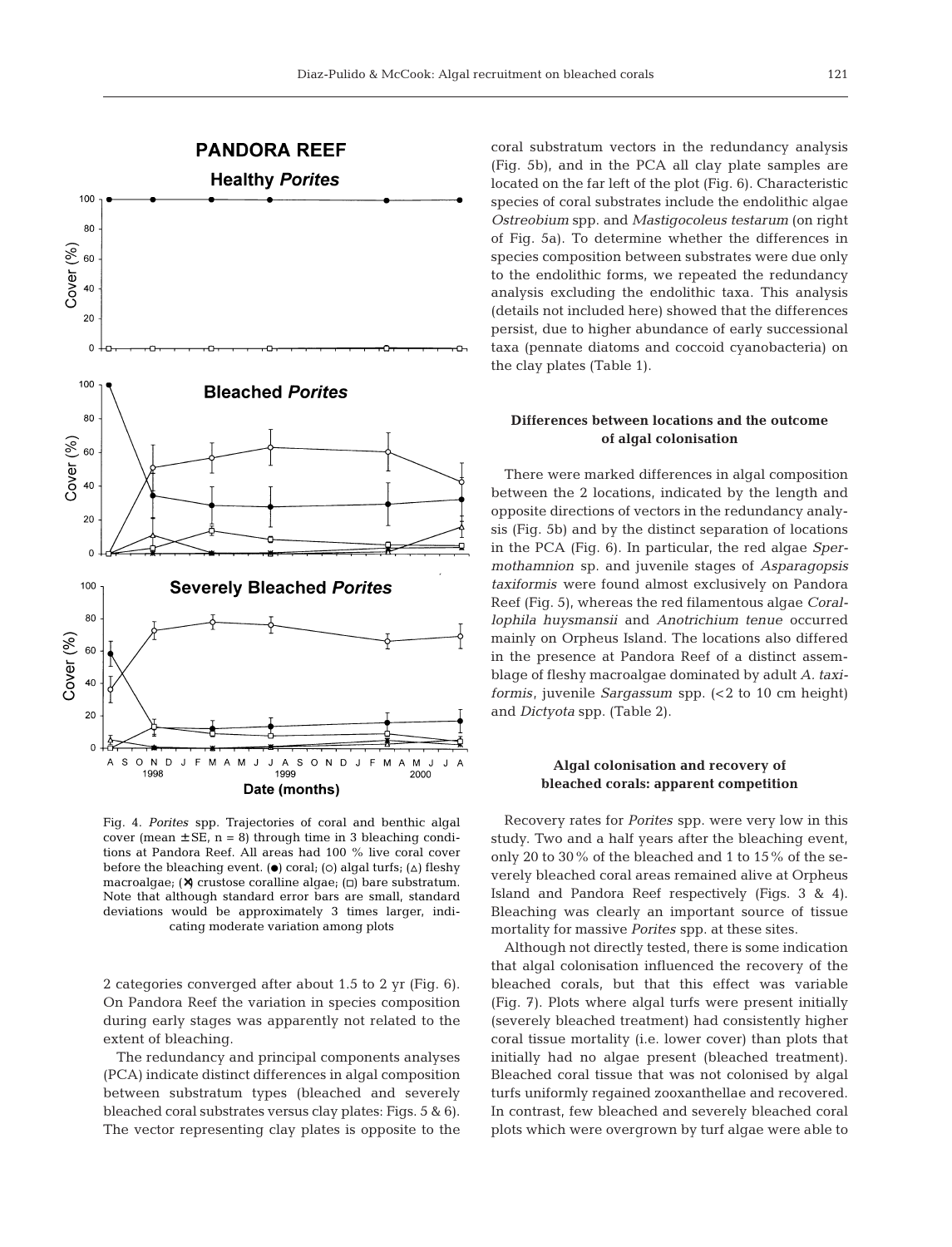

Fig. 4. *Porites* spp. Trajectories of coral and benthic algal cover (mean  $\pm$  SE, n = 8) through time in 3 bleaching conditions at Pandora Reef. All areas had 100 % live coral cover before the bleaching event. ( $\bullet$ ) coral; (o) algal turfs; ( $\triangle$ ) fleshy macroalgae;  $(X)$  crustose coralline algae;  $\Box$ ) bare substratum. Note that although standard error bars are small, standard deviations would be approximately 3 times larger, indicating moderate variation among plots

2 categories converged after about 1.5 to 2 yr (Fig. 6). On Pandora Reef the variation in species composition during early stages was apparently not related to the extent of bleaching.

The redundancy and principal components analyses (PCA) indicate distinct differences in algal composition between substratum types (bleached and severely bleached coral substrates versus clay plates: Figs. 5 & 6). The vector representing clay plates is opposite to the coral substratum vectors in the redundancy analysis (Fig. 5b), and in the PCA all clay plate samples are located on the far left of the plot (Fig. 6). Characteristic species of coral substrates include the endolithic algae *Ostreobium* spp. and *Mastigocoleus testarum* (on right of Fig. 5a). To determine whether the differences in species composition between substrates were due only to the endolithic forms, we repeated the redundancy analysis excluding the endolithic taxa. This analysis (details not included here) showed that the differences persist, due to higher abundance of early successional taxa (pennate diatoms and coccoid cyanobacteria) on the clay plates (Table 1).

# **Differences between locations and the outcome of algal colonisation**

There were marked differences in algal composition between the 2 locations, indicated by the length and opposite directions of vectors in the redundancy analysis (Fig. 5b) and by the distinct separation of locations in the PCA (Fig. 6). In particular, the red algae *Spermothamnion* sp. and juvenile stages of *Asparagopsis taxiformis* were found almost exclusively on Pandora Reef (Fig. 5), whereas the red filamentous algae *Corallophila huysmansii* and *Anotrichium tenue* occurred mainly on Orpheus Island. The locations also differed in the presence at Pandora Reef of a distinct assemblage of fleshy macroalgae dominated by adult *A. taxiformis*, juvenile *Sargassum* spp. (<2 to 10 cm height) and *Dictyota* spp. (Table 2).

### **Algal colonisation and recovery of bleached corals: apparent competition**

Recovery rates for *Porites* spp. were very low in this study. Two and a half years after the bleaching event, only 20 to 30% of the bleached and 1 to 15% of the severely bleached coral areas remained alive at Orpheus Island and Pandora Reef respectively (Figs. 3 & 4). Bleaching was clearly an important source of tissue mortality for massive *Porites* spp. at these sites.

Although not directly tested, there is some indication that algal colonisation influenced the recovery of the bleached corals, but that this effect was variable (Fig. 7). Plots where algal turfs were present initially (severely bleached treatment) had consistently higher coral tissue mortality (i.e. lower cover) than plots that initially had no algae present (bleached treatment). Bleached coral tissue that was not colonised by algal turfs uniformly regained zooxanthellae and recovered. In contrast, few bleached and severely bleached coral plots which were overgrown by turf algae were able to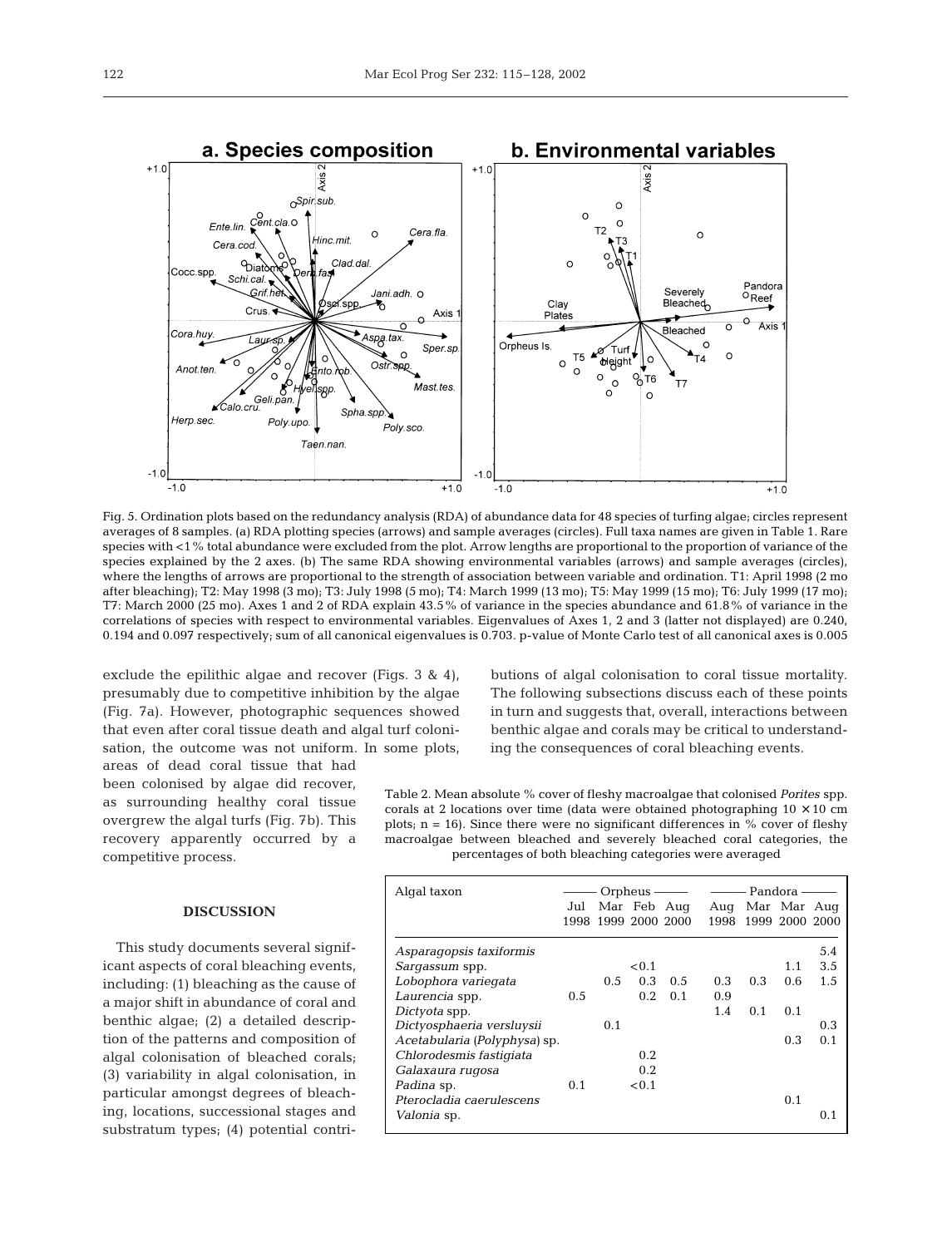

Fig. 5. Ordination plots based on the redundancy analysis (RDA) of abundance data for 48 species of turfing algae; circles represent averages of 8 samples. (a) RDA plotting species (arrows) and sample averages (circles). Full taxa names are given in Table 1. Rare species with <1% total abundance were excluded from the plot. Arrow lengths are proportional to the proportion of variance of the species explained by the 2 axes. (b) The same RDA showing environmental variables (arrows) and sample averages (circles), where the lengths of arrows are proportional to the strength of association between variable and ordination. T1: April 1998 (2 mo after bleaching); T2: May 1998 (3 mo); T3: July 1998 (5 mo); T4: March 1999 (13 mo); T5: May 1999 (15 mo); T6: July 1999 (17 mo); T7: March 2000 (25 mo). Axes 1 and 2 of RDA explain 43.5% of variance in the species abundance and 61.8% of variance in the correlations of species with respect to environmental variables. Eigenvalues of Axes 1, 2 and 3 (latter not displayed) are 0.240, 0.194 and 0.097 respectively; sum of all canonical eigenvalues is 0.703. p-value of Monte Carlo test of all canonical axes is 0.005

exclude the epilithic algae and recover (Figs. 3 & 4), presumably due to competitive inhibition by the algae (Fig. 7a). However, photographic sequences showed that even after coral tissue death and algal turf colonisation, the outcome was not uniform. In some plots,

areas of dead coral tissue that had been colonised by algae did recover, as surrounding healthy coral tissue overgrew the algal turfs (Fig. 7b). This recovery apparently occurred by a competitive process.

#### **DISCUSSION**

This study documents several significant aspects of coral bleaching events, including: (1) bleaching as the cause of a major shift in abundance of coral and benthic algae; (2) a detailed description of the patterns and composition of algal colonisation of bleached corals; (3) variability in algal colonisation, in particular amongst degrees of bleaching, locations, successional stages and substratum types; (4) potential contri-

butions of algal colonisation to coral tissue mortality. The following subsections discuss each of these points in turn and suggests that, overall, interactions between benthic algae and corals may be critical to understanding the consequences of coral bleaching events.

Table 2. Mean absolute % cover of fleshy macroalgae that colonised *Porites* spp. corals at 2 locations over time (data were obtained photographing  $10 \times 10$  cm plots;  $n = 16$ ). Since there were no significant differences in % cover of fleshy macroalgae between bleached and severely bleached coral categories, the percentages of both bleaching categories were averaged

| Algal taxon                  | Orpheus $-\!\!-\!\!-$ |               |                |             |     | Pandora -           |     |     |  |
|------------------------------|-----------------------|---------------|----------------|-------------|-----|---------------------|-----|-----|--|
|                              | Jul                   |               |                | Mar Feb Aug |     | Aug Mar Mar Aug     |     |     |  |
|                              | 1998                  |               | 1999 2000 2000 |             |     | 1998 1999 2000 2000 |     |     |  |
| Asparagopsis taxiformis      |                       |               |                |             |     |                     |     | 5.4 |  |
| Sargassum spp.               |                       |               | < 0.1          |             |     |                     | 1.1 | 3.5 |  |
| Lobophora variegata          |                       | $0.5^{\circ}$ | 0.3            | 0.5         | 0.3 | 0.3                 | 0.6 | 1.5 |  |
| Laurencia spp.               | 0.5                   |               | 0.2.           | 0.1         | 0.9 |                     |     |     |  |
| Dictyota spp.                |                       |               |                |             | 1.4 | 0.1                 | 0.1 |     |  |
| Dictyosphaeria versluysii    |                       | 0.1           |                |             |     |                     |     | 0.3 |  |
| Acetabularia (Polyphysa) sp. |                       |               |                |             |     |                     | 0.3 | 0.1 |  |
| Chlorodesmis fastigiata      |                       |               | 0.2            |             |     |                     |     |     |  |
| Galaxaura rugosa             |                       |               | 0.2            |             |     |                     |     |     |  |
| <i>Padina</i> sp.            | 0.1                   |               | < 0.1          |             |     |                     |     |     |  |
| Pterocladia caerulescens     |                       |               |                |             |     |                     | 0.1 |     |  |
| <i>Valonia</i> sp.           |                       |               |                |             |     |                     |     | 0.1 |  |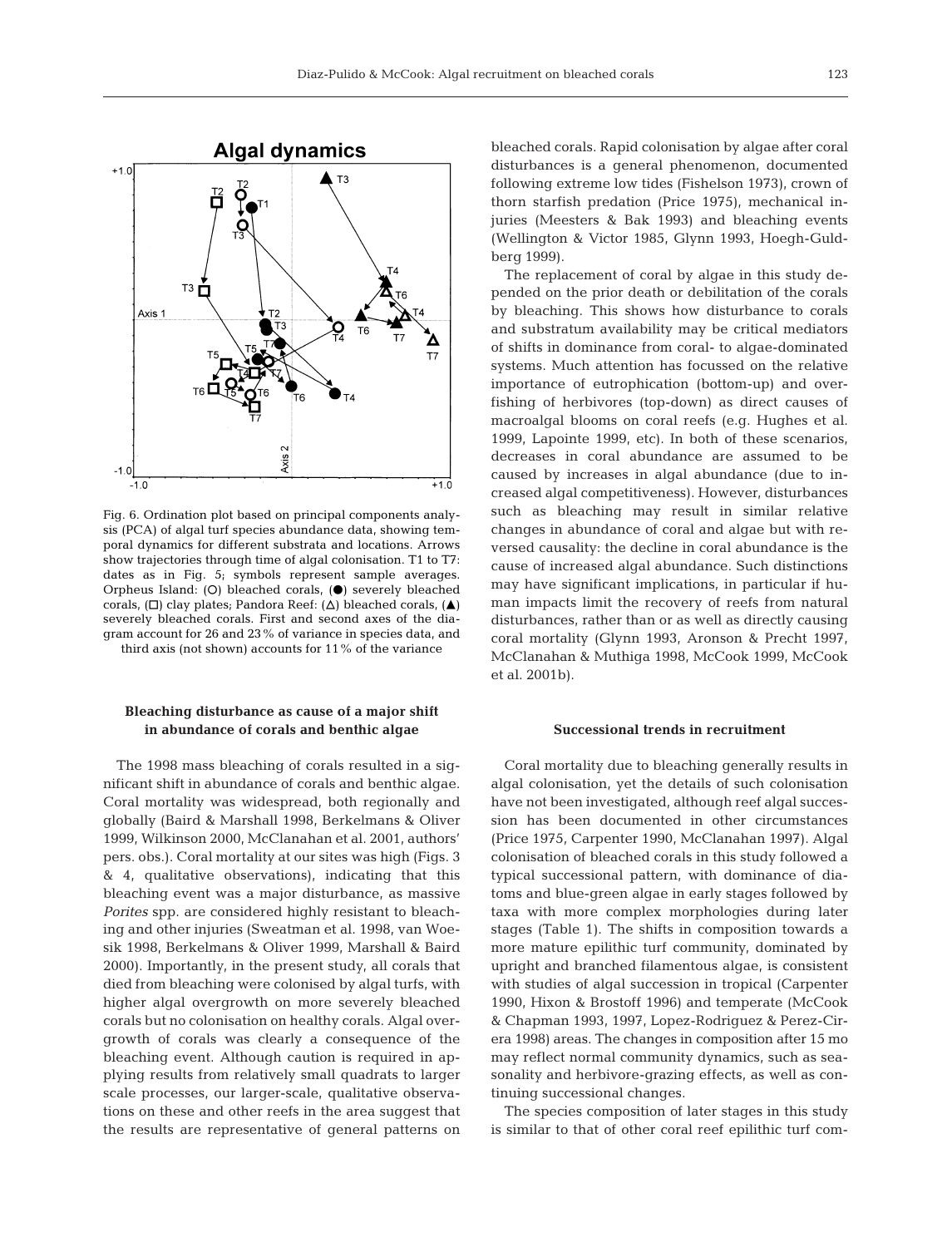

Fig. 6. Ordination plot based on principal components analysis (PCA) of algal turf species abundance data, showing temporal dynamics for different substrata and locations. Arrows show trajectories through time of algal colonisation. T1 to T7: dates as in Fig. 5; symbols represent sample averages. Orpheus Island: (O) bleached corals, ( $\bullet$ ) severely bleached corals,  $(\Box)$  clay plates; Pandora Reef:  $(\Delta)$  bleached corals,  $(\triangle)$ severely bleached corals. First and second axes of the diagram account for 26 and 23% of variance in species data, and

third axis (not shown) accounts for 11% of the variance

### **Bleaching disturbance as cause of a major shift in abundance of corals and benthic algae**

The 1998 mass bleaching of corals resulted in a significant shift in abundance of corals and benthic algae. Coral mortality was widespread, both regionally and globally (Baird & Marshall 1998, Berkelmans & Oliver 1999, Wilkinson 2000, McClanahan et al. 2001, authors' pers. obs.). Coral mortality at our sites was high (Figs. 3 & 4, qualitative observations), indicating that this bleaching event was a major disturbance, as massive *Porites* spp. are considered highly resistant to bleaching and other injuries (Sweatman et al. 1998, van Woesik 1998, Berkelmans & Oliver 1999, Marshall & Baird 2000). Importantly, in the present study, all corals that died from bleaching were colonised by algal turfs, with higher algal overgrowth on more severely bleached corals but no colonisation on healthy corals. Algal overgrowth of corals was clearly a consequence of the bleaching event. Although caution is required in applying results from relatively small quadrats to larger scale processes, our larger-scale, qualitative observations on these and other reefs in the area suggest that the results are representative of general patterns on

bleached corals. Rapid colonisation by algae after coral disturbances is a general phenomenon, documented following extreme low tides (Fishelson 1973), crown of thorn starfish predation (Price 1975), mechanical injuries (Meesters & Bak 1993) and bleaching events (Wellington & Victor 1985, Glynn 1993, Hoegh-Guldberg 1999).

The replacement of coral by algae in this study depended on the prior death or debilitation of the corals by bleaching. This shows how disturbance to corals and substratum availability may be critical mediators of shifts in dominance from coral- to algae-dominated systems. Much attention has focussed on the relative importance of eutrophication (bottom-up) and overfishing of herbivores (top-down) as direct causes of macroalgal blooms on coral reefs (e.g. Hughes et al. 1999, Lapointe 1999, etc). In both of these scenarios, decreases in coral abundance are assumed to be caused by increases in algal abundance (due to increased algal competitiveness). However, disturbances such as bleaching may result in similar relative changes in abundance of coral and algae but with reversed causality: the decline in coral abundance is the cause of increased algal abundance. Such distinctions may have significant implications, in particular if human impacts limit the recovery of reefs from natural disturbances, rather than or as well as directly causing coral mortality (Glynn 1993, Aronson & Precht 1997, McClanahan & Muthiga 1998, McCook 1999, McCook et al. 2001b).

#### **Successional trends in recruitment**

Coral mortality due to bleaching generally results in algal colonisation, yet the details of such colonisation have not been investigated, although reef algal succession has been documented in other circumstances (Price 1975, Carpenter 1990, McClanahan 1997). Algal colonisation of bleached corals in this study followed a typical successional pattern, with dominance of diatoms and blue-green algae in early stages followed by taxa with more complex morphologies during later stages (Table 1). The shifts in composition towards a more mature epilithic turf community, dominated by upright and branched filamentous algae, is consistent with studies of algal succession in tropical (Carpenter 1990, Hixon & Brostoff 1996) and temperate (McCook & Chapman 1993, 1997, Lopez-Rodriguez & Perez-Cirera 1998) areas. The changes in composition after 15 mo may reflect normal community dynamics, such as seasonality and herbivore-grazing effects, as well as continuing successional changes.

The species composition of later stages in this study is similar to that of other coral reef epilithic turf com-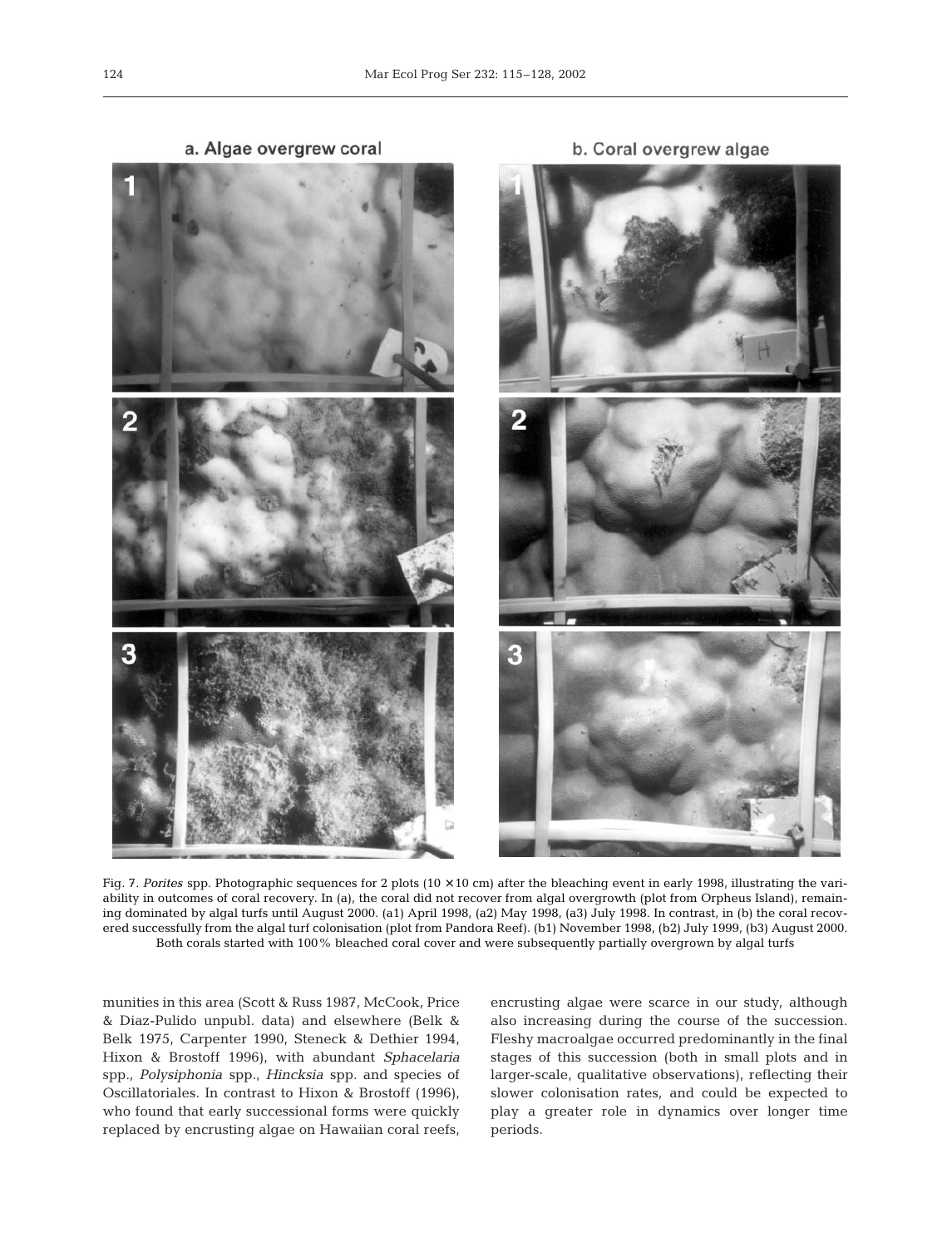a. Algae overgrew coral

3

Fig. 7. Porites spp. Photographic sequences for 2 plots (10  $\times$  10 cm) after the bleaching event in early 1998, illustrating the variability in outcomes of coral recovery. In (a), the coral did not recover from algal overgrowth (plot from Orpheus Island), remaining dominated by algal turfs until August 2000. (a1) April 1998, (a2) May 1998, (a3) July 1998. In contrast, in (b) the coral recovered successfully from the algal turf colonisation (plot from Pandora Reef). (b1) November 1998, (b2) July 1999, (b3) August 2000. Both corals started with 100% bleached coral cover and were subsequently partially overgrown by algal turfs

munities in this area (Scott & Russ 1987, McCook, Price & Diaz-Pulido unpubl. data) and elsewhere (Belk & Belk 1975, Carpenter 1990, Steneck & Dethier 1994, Hixon & Brostoff 1996), with abundant *Sphacelaria* spp*., Polysiphonia* spp., *Hincksia* spp. and species of Oscillatoriales. In contrast to Hixon & Brostoff (1996), who found that early successional forms were quickly replaced by encrusting algae on Hawaiian coral reefs, encrusting algae were scarce in our study, although also increasing during the course of the succession. Fleshy macroalgae occurred predominantly in the final stages of this succession (both in small plots and in larger-scale, qualitative observations), reflecting their slower colonisation rates, and could be expected to play a greater role in dynamics over longer time periods.

b. Coral overgrew algae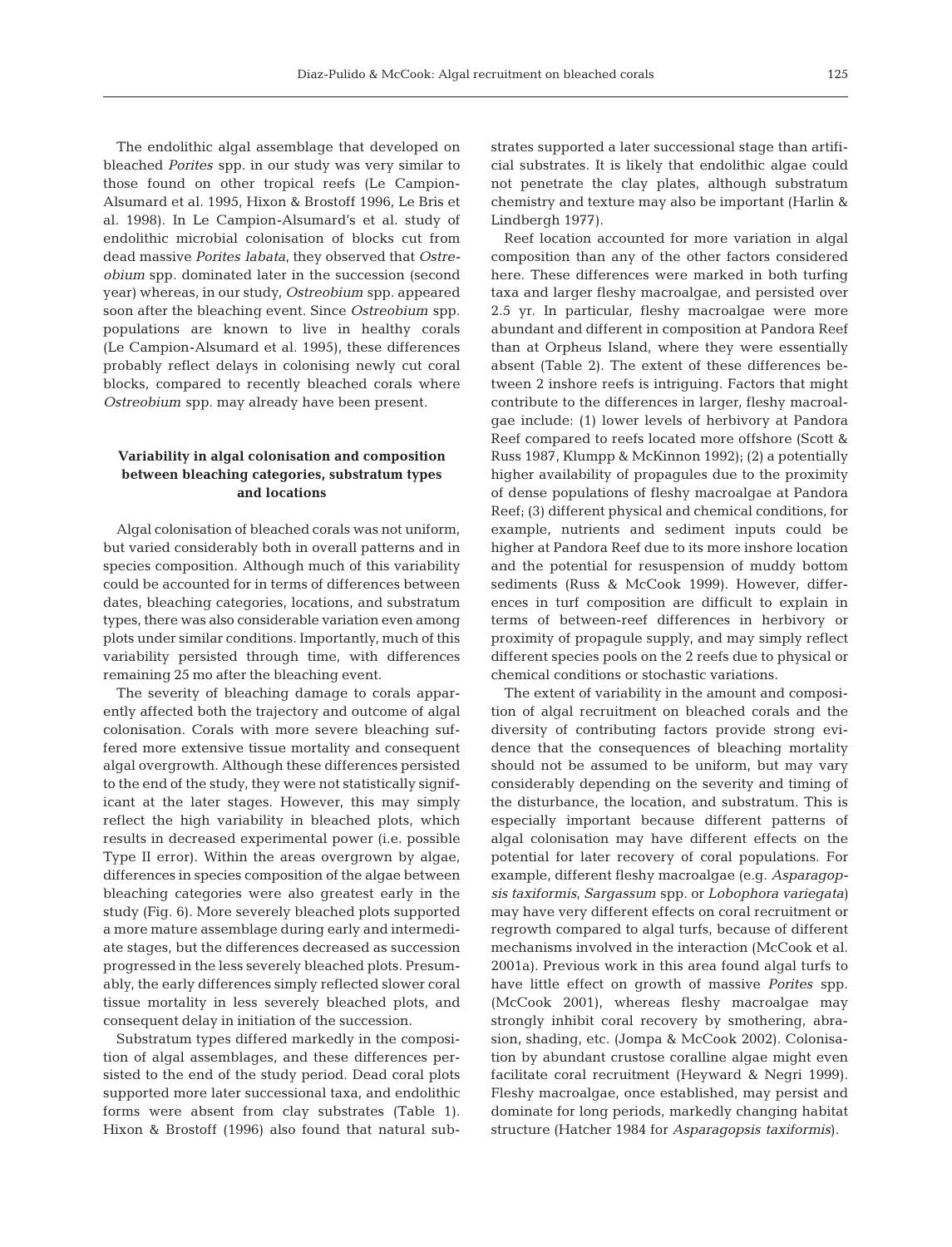The endolithic algal assemblage that developed on bleached *Porites* spp. in our study was very similar to those found on other tropical reefs (Le Campion-Alsumard et al. 1995, Hixon & Brostoff 1996, Le Bris et al. 1998). In Le Campion-Alsumard's et al. study of endolithic microbial colonisation of blocks cut from dead massive *Porites labata*, they observed that *Ostreobium* spp. dominated later in the succession (second year) whereas, in our study, *Ostreobium* spp. appeared soon after the bleaching event. Since *Ostreobium* spp. populations are known to live in healthy corals (Le Campion-Alsumard et al. 1995), these differences probably reflect delays in colonising newly cut coral blocks, compared to recently bleached corals where *Ostreobium* spp. may already have been present.

#### **Variability in algal colonisation and composition between bleaching categories, substratum types and locations**

Algal colonisation of bleached corals was not uniform, but varied considerably both in overall patterns and in species composition. Although much of this variability could be accounted for in terms of differences between dates, bleaching categories, locations, and substratum types, there was also considerable variation even among plots under similar conditions. Importantly, much of this variability persisted through time, with differences remaining 25 mo after the bleaching event.

The severity of bleaching damage to corals apparently affected both the trajectory and outcome of algal colonisation. Corals with more severe bleaching suffered more extensive tissue mortality and consequent algal overgrowth. Although these differences persisted to the end of the study, they were not statistically significant at the later stages. However, this may simply reflect the high variability in bleached plots, which results in decreased experimental power (i.e. possible Type II error). Within the areas overgrown by algae, differences in species composition of the algae between bleaching categories were also greatest early in the study (Fig. 6). More severely bleached plots supported a more mature assemblage during early and intermediate stages, but the differences decreased as succession progressed in the less severely bleached plots. Presumably, the early differences simply reflected slower coral tissue mortality in less severely bleached plots, and consequent delay in initiation of the succession.

Substratum types differed markedly in the composition of algal assemblages, and these differences persisted to the end of the study period. Dead coral plots supported more later successional taxa, and endolithic forms were absent from clay substrates (Table 1). Hixon & Brostoff (1996) also found that natural substrates supported a later successional stage than artificial substrates. It is likely that endolithic algae could not penetrate the clay plates, although substratum chemistry and texture may also be important (Harlin & Lindbergh 1977).

Reef location accounted for more variation in algal composition than any of the other factors considered here. These differences were marked in both turfing taxa and larger fleshy macroalgae, and persisted over 2.5 yr. In particular, fleshy macroalgae were more abundant and different in composition at Pandora Reef than at Orpheus Island, where they were essentially absent (Table 2). The extent of these differences between 2 inshore reefs is intriguing. Factors that might contribute to the differences in larger, fleshy macroalgae include: (1) lower levels of herbivory at Pandora Reef compared to reefs located more offshore (Scott & Russ 1987, Klumpp & McKinnon 1992); (2) a potentially higher availability of propagules due to the proximity of dense populations of fleshy macroalgae at Pandora Reef; (3) different physical and chemical conditions, for example, nutrients and sediment inputs could be higher at Pandora Reef due to its more inshore location and the potential for resuspension of muddy bottom sediments (Russ & McCook 1999). However, differences in turf composition are difficult to explain in terms of between-reef differences in herbivory or proximity of propagule supply, and may simply reflect different species pools on the 2 reefs due to physical or chemical conditions or stochastic variations.

The extent of variability in the amount and composition of algal recruitment on bleached corals and the diversity of contributing factors provide strong evidence that the consequences of bleaching mortality should not be assumed to be uniform, but may vary considerably depending on the severity and timing of the disturbance, the location, and substratum. This is especially important because different patterns of algal colonisation may have different effects on the potential for later recovery of coral populations. For example, different fleshy macroalgae (e.g. *Asparagopsis taxiformis*, *Sargassum* spp. or *Lobophora variegata)* may have very different effects on coral recruitment or regrowth compared to algal turfs, because of different mechanisms involved in the interaction (McCook et al. 2001a). Previous work in this area found algal turfs to have little effect on growth of massive *Porites* spp. (McCook 2001), whereas fleshy macroalgae may strongly inhibit coral recovery by smothering, abrasion, shading, etc. (Jompa & McCook 2002). Colonisation by abundant crustose coralline algae might even facilitate coral recruitment (Heyward & Negri 1999)*.* Fleshy macroalgae, once established, may persist and dominate for long periods, markedly changing habitat structure (Hatcher 1984 for *Asparagopsis taxiformis*).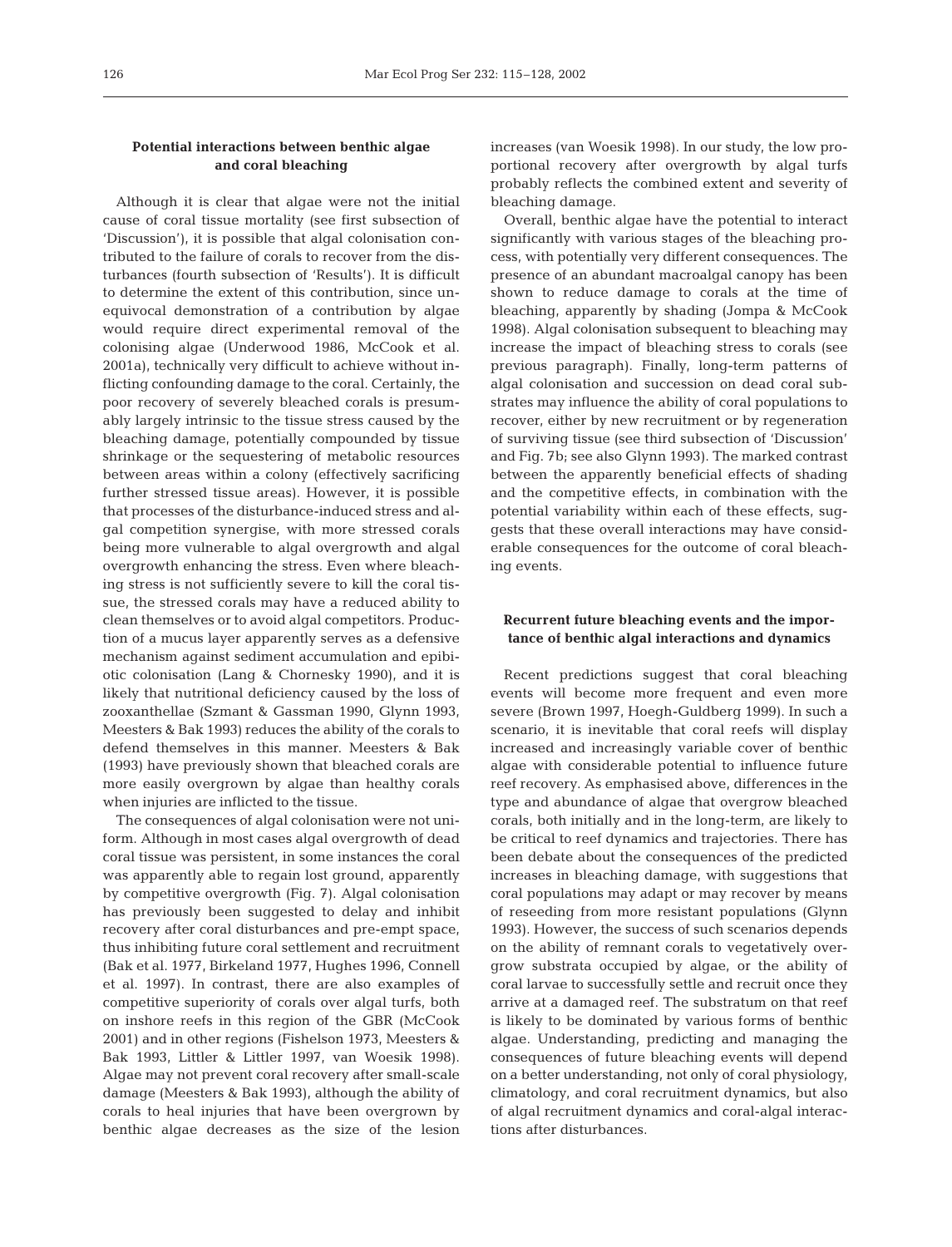# **Potential interactions between benthic algae and coral bleaching**

Although it is clear that algae were not the initial cause of coral tissue mortality (see first subsection of 'Discussion'), it is possible that algal colonisation contributed to the failure of corals to recover from the disturbances (fourth subsection of 'Results'). It is difficult to determine the extent of this contribution, since unequivocal demonstration of a contribution by algae would require direct experimental removal of the colonising algae (Underwood 1986, McCook et al. 2001a), technically very difficult to achieve without inflicting confounding damage to the coral. Certainly, the poor recovery of severely bleached corals is presumably largely intrinsic to the tissue stress caused by the bleaching damage, potentially compounded by tissue shrinkage or the sequestering of metabolic resources between areas within a colony (effectively sacrificing further stressed tissue areas). However, it is possible that processes of the disturbance-induced stress and algal competition synergise, with more stressed corals being more vulnerable to algal overgrowth and algal overgrowth enhancing the stress. Even where bleaching stress is not sufficiently severe to kill the coral tissue, the stressed corals may have a reduced ability to clean themselves or to avoid algal competitors. Production of a mucus layer apparently serves as a defensive mechanism against sediment accumulation and epibiotic colonisation (Lang & Chornesky 1990), and it is likely that nutritional deficiency caused by the loss of zooxanthellae (Szmant & Gassman 1990, Glynn 1993, Meesters & Bak 1993) reduces the ability of the corals to defend themselves in this manner. Meesters & Bak (1993) have previously shown that bleached corals are more easily overgrown by algae than healthy corals when injuries are inflicted to the tissue.

The consequences of algal colonisation were not uniform. Although in most cases algal overgrowth of dead coral tissue was persistent, in some instances the coral was apparently able to regain lost ground, apparently by competitive overgrowth (Fig. 7). Algal colonisation has previously been suggested to delay and inhibit recovery after coral disturbances and pre-empt space, thus inhibiting future coral settlement and recruitment (Bak et al. 1977, Birkeland 1977, Hughes 1996, Connell et al. 1997). In contrast, there are also examples of competitive superiority of corals over algal turfs, both on inshore reefs in this region of the GBR (McCook 2001) and in other regions (Fishelson 1973, Meesters & Bak 1993, Littler & Littler 1997, van Woesik 1998). Algae may not prevent coral recovery after small-scale damage (Meesters & Bak 1993), although the ability of corals to heal injuries that have been overgrown by benthic algae decreases as the size of the lesion increases (van Woesik 1998). In our study, the low proportional recovery after overgrowth by algal turfs probably reflects the combined extent and severity of bleaching damage.

Overall, benthic algae have the potential to interact significantly with various stages of the bleaching process, with potentially very different consequences. The presence of an abundant macroalgal canopy has been shown to reduce damage to corals at the time of bleaching, apparently by shading (Jompa & McCook 1998). Algal colonisation subsequent to bleaching may increase the impact of bleaching stress to corals (see previous paragraph). Finally, long-term patterns of algal colonisation and succession on dead coral substrates may influence the ability of coral populations to recover, either by new recruitment or by regeneration of surviving tissue (see third subsection of 'Discussion' and Fig. 7b; see also Glynn 1993). The marked contrast between the apparently beneficial effects of shading and the competitive effects, in combination with the potential variability within each of these effects, suggests that these overall interactions may have considerable consequences for the outcome of coral bleaching events.

# **Recurrent future bleaching events and the importance of benthic algal interactions and dynamics**

Recent predictions suggest that coral bleaching events will become more frequent and even more severe (Brown 1997, Hoegh-Guldberg 1999). In such a scenario, it is inevitable that coral reefs will display increased and increasingly variable cover of benthic algae with considerable potential to influence future reef recovery. As emphasised above, differences in the type and abundance of algae that overgrow bleached corals, both initially and in the long-term, are likely to be critical to reef dynamics and trajectories. There has been debate about the consequences of the predicted increases in bleaching damage, with suggestions that coral populations may adapt or may recover by means of reseeding from more resistant populations (Glynn 1993). However, the success of such scenarios depends on the ability of remnant corals to vegetatively overgrow substrata occupied by algae, or the ability of coral larvae to successfully settle and recruit once they arrive at a damaged reef. The substratum on that reef is likely to be dominated by various forms of benthic algae. Understanding, predicting and managing the consequences of future bleaching events will depend on a better understanding, not only of coral physiology, climatology, and coral recruitment dynamics, but also of algal recruitment dynamics and coral-algal interactions after disturbances.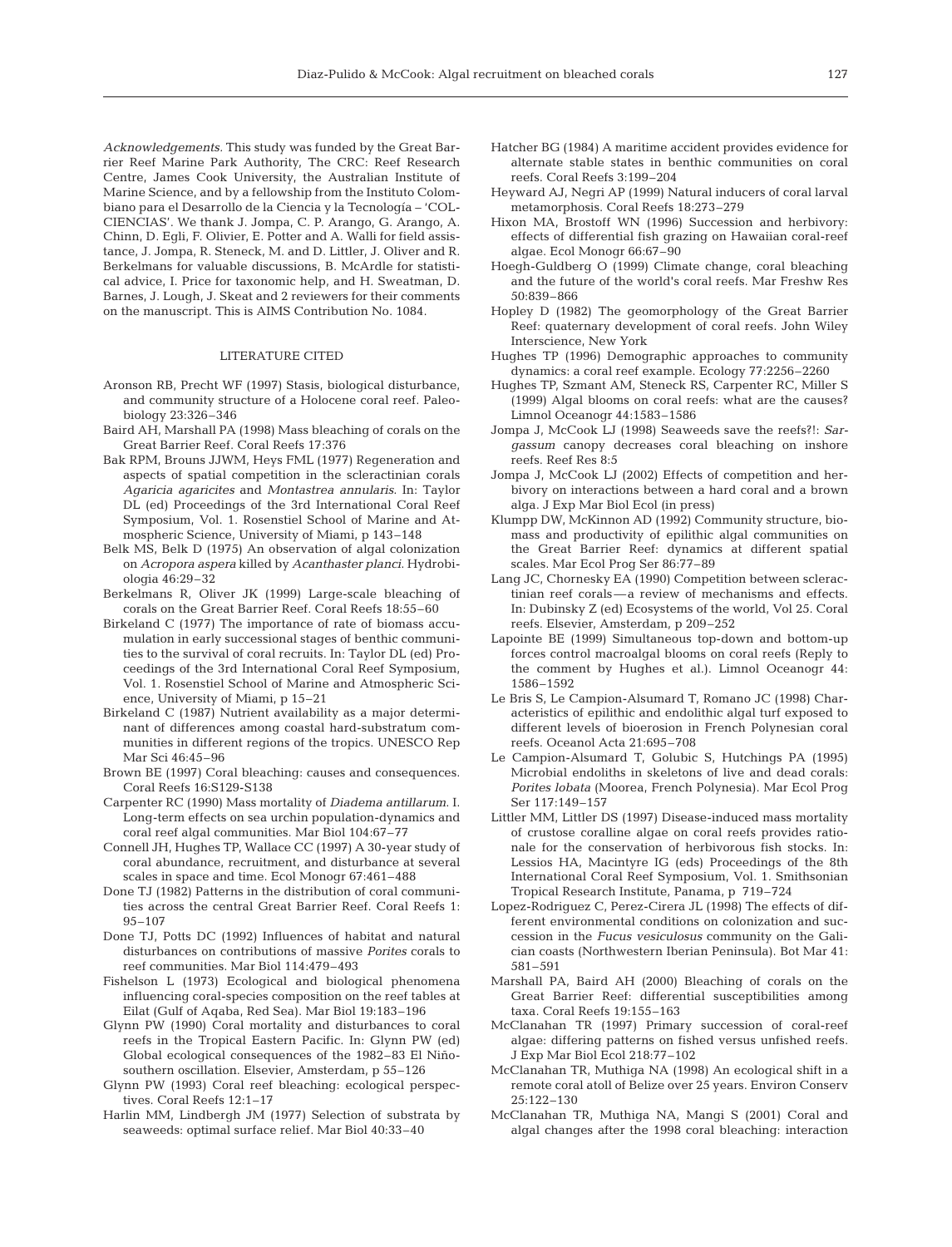*Acknowledgements.* This study was funded by the Great Barrier Reef Marine Park Authority, The CRC: Reef Research Centre, James Cook University, the Australian Institute of Marine Science, and by a fellowship from the Instituto Colombiano para el Desarrollo de la Ciencia y la Tecnología – 'COL-CIENCIAS'. We thank J. Jompa, C. P. Arango, G. Arango, A. Chinn, D. Egli, F. Olivier, E. Potter and A. Walli for field assistance, J. Jompa, R. Steneck, M. and D. Littler, J. Oliver and R. Berkelmans for valuable discussions, B. McArdle for statistical advice, I. Price for taxonomic help, and H. Sweatman, D. Barnes, J. Lough, J. Skeat and 2 reviewers for their comments on the manuscript. This is AIMS Contribution No. 1084.

#### LITERATURE CITED

- Aronson RB, Precht WF (1997) Stasis, biological disturbance, and community structure of a Holocene coral reef. Paleobiology 23:326–346
- Baird AH, Marshall PA (1998) Mass bleaching of corals on the Great Barrier Reef. Coral Reefs 17:376
- Bak RPM, Brouns JJWM, Heys FML (1977) Regeneration and aspects of spatial competition in the scleractinian corals *Agaricia agaricites* and *Montastrea annularis*. In: Taylor DL (ed) Proceedings of the 3rd International Coral Reef Symposium, Vol. 1. Rosenstiel School of Marine and Atmospheric Science, University of Miami, p 143–148
- Belk MS, Belk D (1975) An observation of algal colonization on *Acropora aspera* killed by *Acanthaster planci*. Hydrobiologia 46:29–32
- Berkelmans R, Oliver JK (1999) Large-scale bleaching of corals on the Great Barrier Reef. Coral Reefs 18:55–60
- Birkeland C (1977) The importance of rate of biomass accumulation in early successional stages of benthic communities to the survival of coral recruits. In: Taylor DL (ed) Proceedings of the 3rd International Coral Reef Symposium, Vol. 1. Rosenstiel School of Marine and Atmospheric Science, University of Miami, p 15–21
- Birkeland C (1987) Nutrient availability as a major determinant of differences among coastal hard-substratum communities in different regions of the tropics. UNESCO Rep Mar Sci 46:45–96
- Brown BE (1997) Coral bleaching: causes and consequences. Coral Reefs 16:S129-S138
- Carpenter RC (1990) Mass mortality of *Diadema antillarum*. I. Long-term effects on sea urchin population-dynamics and coral reef algal communities. Mar Biol 104:67–77
- Connell JH, Hughes TP, Wallace CC (1997) A 30-year study of coral abundance, recruitment, and disturbance at several scales in space and time. Ecol Monogr 67:461–488
- Done TJ (1982) Patterns in the distribution of coral communities across the central Great Barrier Reef. Coral Reefs 1: 95–107
- Done TJ, Potts DC (1992) Influences of habitat and natural disturbances on contributions of massive *Porites* corals to reef communities. Mar Biol 114:479–493
- Fishelson L (1973) Ecological and biological phenomena influencing coral-species composition on the reef tables at Eilat (Gulf of Aqaba, Red Sea). Mar Biol 19:183–196
- Glynn PW (1990) Coral mortality and disturbances to coral reefs in the Tropical Eastern Pacific. In: Glynn PW (ed) Global ecological consequences of the 1982–83 El Niñosouthern oscillation. Elsevier, Amsterdam, p 55–126
- Glynn PW (1993) Coral reef bleaching: ecological perspectives. Coral Reefs 12:1–17
- Harlin MM, Lindbergh JM (1977) Selection of substrata by seaweeds: optimal surface relief. Mar Biol 40:33–40
- Hatcher BG (1984) A maritime accident provides evidence for alternate stable states in benthic communities on coral reefs. Coral Reefs 3:199–204
- Heyward AJ, Negri AP (1999) Natural inducers of coral larval metamorphosis. Coral Reefs 18:273–279
- Hixon MA, Brostoff WN (1996) Succession and herbivory: effects of differential fish grazing on Hawaiian coral-reef algae. Ecol Monogr 66:67–90
- Hoegh-Guldberg O (1999) Climate change, coral bleaching and the future of the world's coral reefs. Mar Freshw Res 50:839–866
- Hopley D (1982) The geomorphology of the Great Barrier Reef: quaternary development of coral reefs. John Wiley Interscience, New York
- Hughes TP (1996) Demographic approaches to community dynamics: a coral reef example. Ecology 77:2256–2260
- Hughes TP, Szmant AM, Steneck RS, Carpenter RC, Miller S (1999) Algal blooms on coral reefs: what are the causes? Limnol Oceanogr 44:1583–1586
- Jompa J, McCook LJ (1998) Seaweeds save the reefs?!: *Sargassum* canopy decreases coral bleaching on inshore reefs. Reef Res 8:5
- Jompa J, McCook LJ (2002) Effects of competition and herbivory on interactions between a hard coral and a brown alga. J Exp Mar Biol Ecol (in press)
- Klumpp DW, McKinnon AD (1992) Community structure, biomass and productivity of epilithic algal communities on the Great Barrier Reef: dynamics at different spatial scales. Mar Ecol Prog Ser 86:77–89
- Lang JC, Chornesky EA (1990) Competition between scleractinian reef corals—a review of mechanisms and effects. In: Dubinsky Z (ed) Ecosystems of the world, Vol 25. Coral reefs. Elsevier, Amsterdam, p 209–252
- Lapointe BE (1999) Simultaneous top-down and bottom-up forces control macroalgal blooms on coral reefs (Reply to the comment by Hughes et al.). Limnol Oceanogr 44: 1586–1592
- Le Bris S, Le Campion-Alsumard T, Romano JC (1998) Characteristics of epilithic and endolithic algal turf exposed to different levels of bioerosion in French Polynesian coral reefs. Oceanol Acta 21:695–708
- Le Campion-Alsumard T, Golubic S, Hutchings PA (1995) Microbial endoliths in skeletons of live and dead corals: *Porites lobata* (Moorea, French Polynesia). Mar Ecol Prog Ser 117:149–157
- Littler MM, Littler DS (1997) Disease-induced mass mortality of crustose coralline algae on coral reefs provides rationale for the conservation of herbivorous fish stocks. In: Lessios HA, Macintyre IG (eds) Proceedings of the 8th International Coral Reef Symposium, Vol. 1. Smithsonian Tropical Research Institute, Panama, p 719–724
- Lopez-Rodriguez C, Perez-Cirera JL (1998) The effects of different environmental conditions on colonization and succession in the *Fucus vesiculosus* community on the Galician coasts (Northwestern Iberian Peninsula). Bot Mar 41: 581–591
- Marshall PA, Baird AH (2000) Bleaching of corals on the Great Barrier Reef: differential susceptibilities among taxa. Coral Reefs 19:155–163
- McClanahan TR (1997) Primary succession of coral-reef algae: differing patterns on fished versus unfished reefs. J Exp Mar Biol Ecol 218:77–102
- McClanahan TR, Muthiga NA (1998) An ecological shift in a remote coral atoll of Belize over 25 years. Environ Conserv 25:122–130
- McClanahan TR, Muthiga NA, Mangi S (2001) Coral and algal changes after the 1998 coral bleaching: interaction